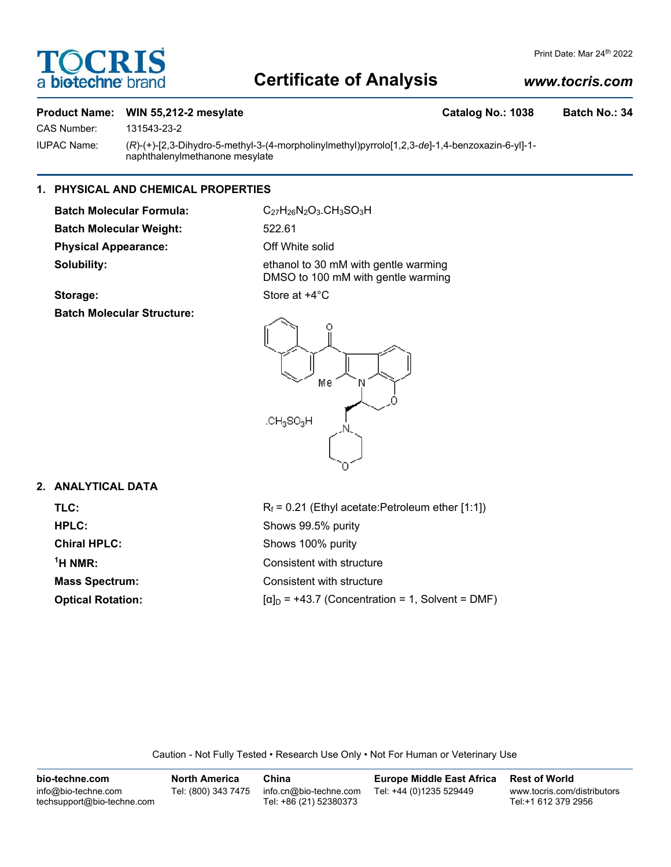# TOCRIS a biotechne

#### Print Date: Mar 24th 2022

## **Certificate of Analysis**

## *www.tocris.com*

## Product Name: WIN 55,212-2 mesylate **Catalog No.: 1038** Batch No.: 34

CAS Number: 131543-23-2

IUPAC Name: (*R*)-(+)-[2,3-Dihydro-5-methyl-3-(4-morpholinylmethyl)pyrrolo[1,2,3-*de*]-1,4-benzoxazin-6-yl]-1 naphthalenylmethanone mesylate

## **1. PHYSICAL AND CHEMICAL PROPERTIES**

**Batch Molecular Weight:** 522.61 **Physical Appearance:** Off White solid **Solubility:** ethanol to 30 mM with gentle warming

**Batch Molecular Formula:** C<sub>27</sub>H<sub>26</sub>N<sub>2</sub>O<sub>3</sub>.CH<sub>3</sub>SO<sub>3</sub>H

DMSO to 100 mM with gentle warming

## **Storage:** Store at  $+4^{\circ}$ C

**Batch Molecular Structure:**



### **2. ANALYTICAL DATA**

| TLC:                     | $R_f$ = 0.21 (Ethyl acetate: Petroleum ether [1:1])     |  |  |
|--------------------------|---------------------------------------------------------|--|--|
| <b>HPLC:</b>             | Shows 99.5% purity                                      |  |  |
| <b>Chiral HPLC:</b>      | Shows 100% purity                                       |  |  |
| $\mathrm{{}^{1}H}$ NMR:  | Consistent with structure                               |  |  |
| <b>Mass Spectrum:</b>    | Consistent with structure                               |  |  |
| <b>Optical Rotation:</b> | $[\alpha]_D$ = +43.7 (Concentration = 1, Solvent = DMF) |  |  |

Caution - Not Fully Tested • Research Use Only • Not For Human or Veterinary Use

| bio-techne.com                                    | <b>North America</b> | China                                            | <b>Europe Middle East Africa</b> | <b>Rest of World</b>                               |
|---------------------------------------------------|----------------------|--------------------------------------------------|----------------------------------|----------------------------------------------------|
| info@bio-techne.com<br>techsupport@bio-techne.com | Tel: (800) 343 7475  | info.cn@bio-techne.com<br>Tel: +86 (21) 52380373 | Tel: +44 (0)1235 529449          | www.tocris.com/distributors<br>Tel:+1 612 379 2956 |